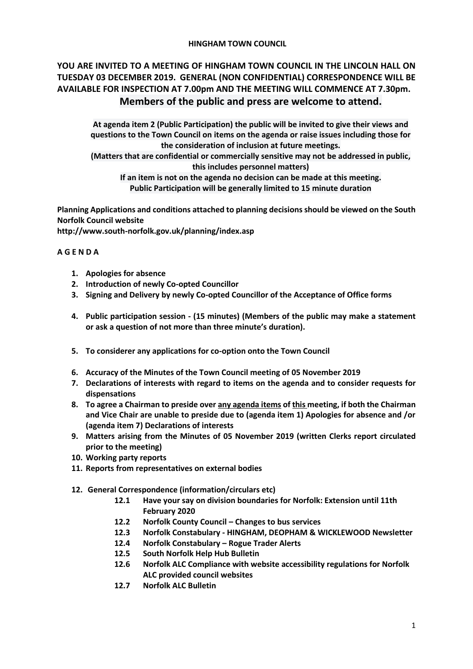## **HINGHAM TOWN COUNCIL**

# **YOU ARE INVITED TO A MEETING OF HINGHAM TOWN COUNCIL IN THE LINCOLN HALL ON TUESDAY 03 DECEMBER 2019. GENERAL (NON CONFIDENTIAL) CORRESPONDENCE WILL BE AVAILABLE FOR INSPECTION AT 7.00pm AND THE MEETING WILL COMMENCE AT 7.30pm. Members of the public and press are welcome to attend.**

**At agenda item 2 (Public Participation) the public will be invited to give their views and questions to the Town Council on items on the agenda or raise issues including those for the consideration of inclusion at future meetings.**

**(Matters that are confidential or commercially sensitive may not be addressed in public, this includes personnel matters)**

**If an item is not on the agenda no decision can be made at this meeting. Public Participation will be generally limited to 15 minute duration**

**Planning Applications and conditions attached to planning decisions should be viewed on the South Norfolk Council website** 

**<http://www.south-norfolk.gov.uk/planning/index.asp>**

## **A G E N D A**

- **1. Apologies for absence**
- **2. Introduction of newly Co-opted Councillor**
- **3. Signing and Delivery by newly Co-opted Councillor of the Acceptance of Office forms**
- **4. Public participation session - (15 minutes) (Members of the public may make a statement or ask a question of not more than three minute's duration).**
- **5. To considerer any applications for co-option onto the Town Council**
- **6. Accuracy of the Minutes of the Town Council meeting of 05 November 2019**
- **7. Declarations of interests with regard to items on the agenda and to consider requests for dispensations**
- **8. To agree a Chairman to preside over any agenda items of this meeting, if both the Chairman and Vice Chair are unable to preside due to (agenda item 1) Apologies for absence and /or (agenda item 7) Declarations of interests**
- **9. Matters arising from the Minutes of 05 November 2019 (written Clerks report circulated prior to the meeting)**
- **10. Working party reports**
- **11. Reports from representatives on external bodies**
- **12. General Correspondence (information/circulars etc)**
	- **12.1 Have your say on division boundaries for Norfolk: Extension until 11th February 2020**
	- **12.2 Norfolk County Council – Changes to bus services**
	- **12.3 Norfolk Constabulary - HINGHAM, DEOPHAM & WICKLEWOOD Newsletter**
	- **12.4 Norfolk Constabulary – Rogue Trader Alerts**
	- **12.5 South Norfolk Help Hub Bulletin**
	- **12.6 Norfolk ALC Compliance with website accessibility regulations for Norfolk ALC provided council websites**
	- **12.7 Norfolk ALC Bulletin**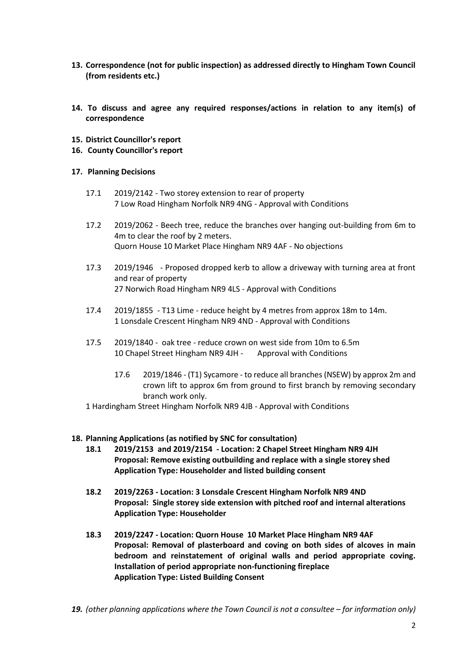- **13. Correspondence (not for public inspection) as addressed directly to Hingham Town Council (from residents etc.)**
- **14. To discuss and agree any required responses/actions in relation to any item(s) of correspondence**
- **15. District Councillor's report**
- **16. County Councillor's report**

#### **17. Planning Decisions**

- 17.1 2019/2142 Two storey extension to rear of property 7 Low Road Hingham Norfolk NR9 4NG - Approval with Conditions
- 17.2 2019/2062 Beech tree, reduce the branches over hanging out-building from 6m to 4m to clear the roof by 2 meters. Quorn House 10 Market Place Hingham NR9 4AF - No objections
- 17.3 2019/1946 Proposed dropped kerb to allow a driveway with turning area at front and rear of property 27 Norwich Road Hingham NR9 4LS - Approval with Conditions
- 17.4 2019/1855 T13 Lime reduce height by 4 metres from approx 18m to 14m. 1 Lonsdale Crescent Hingham NR9 4ND - Approval with Conditions
- 17.5 2019/1840 oak tree reduce crown on west side from 10m to 6.5m 10 Chapel Street Hingham NR9 4JH - Approval with Conditions
	- 17.6 2019/1846 (T1) Sycamore to reduce all branches (NSEW) by approx 2m and crown lift to approx 6m from ground to first branch by removing secondary branch work only.
- 1 Hardingham Street Hingham Norfolk NR9 4JB Approval with Conditions

#### **18. Planning Applications (as notified by SNC for consultation)**

- **18.1 2019/2153 and 2019/2154 - Location: 2 Chapel Street Hingham NR9 4JH Proposal: Remove existing outbuilding and replace with a single storey shed Application Type: Householder and listed building consent**
- **18.2 2019/2263 - Location: 3 Lonsdale Crescent Hingham Norfolk NR9 4ND Proposal: Single storey side extension with pitched roof and internal alterations Application Type: Householder**
- **18.3 2019/2247 - Location: Quorn House 10 Market Place Hingham NR9 4AF Proposal: Removal of plasterboard and coving on both sides of alcoves in main bedroom and reinstatement of original walls and period appropriate coving. Installation of period appropriate non-functioning fireplace Application Type: Listed Building Consent**
- **19.** (other planning applications where the Town Council is not a consultee for information only)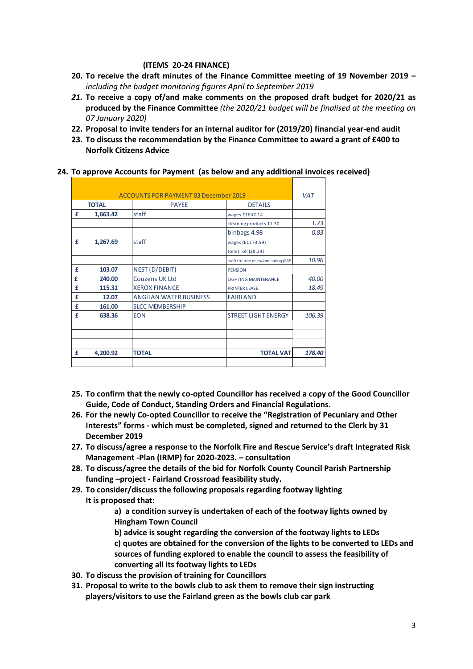#### **(ITEMS 20-24 FINANCE)**

- **20. To receive the draft minutes of the Finance Committee meeting of 19 November 2019 –** *including the budget monitoring figures April to September 2019*
- *21.* **To receive a copy of/and make comments on the proposed draft budget for 2020/21 as produced by the Finance Committee** *(the 2020/21 budget will be finalised at the meeting on 07 January 2020)*
- **22. Proposal to invite tenders for an internal auditor for (2019/20) financial year-end audit**
- **23. To discuss the recommendation by the Finance Committee to award a grant of £400 to Norfolk Citizens Advice**

|  |  | 24. To approve Accounts for Payment (as below and any additional invoices received) |
|--|--|-------------------------------------------------------------------------------------|
|--|--|-------------------------------------------------------------------------------------|

|              |          | <b>ACCOUNTS FOR PAYMENT 03 December 2019</b> |                                      | <b>VAT</b> |
|--------------|----------|----------------------------------------------|--------------------------------------|------------|
| <b>TOTAL</b> |          | <b>PAYEE</b>                                 | <b>DETAILS</b>                       |            |
| £            | 1,663.42 | staff                                        | wages £1647.14                       |            |
|              |          |                                              | cleaning products 11.30              | 1.73       |
|              |          |                                              | binbags 4.98                         | 0.83       |
| £            | 1,267.69 | staff                                        | wages (£1173.59)                     |            |
|              |          |                                              | toilet roll (28.34)                  |            |
|              |          |                                              | craft for tree decs/laminating (£65. | 10.96      |
| £            | 103.07   | NEST (D/DEBIT)                               | <b>PENSION</b>                       |            |
| £            | 240.00   | <b>Couzens UK Ltd</b>                        | <b>LIGHTING MAINTENANCE</b>          | 40.00      |
| £            | 115.31   | <b>XEROX FINANCE</b>                         | <b>PRINTER LEASE</b>                 | 18.49      |
| £            | 12.07    | <b>ANGLIAN WATER BUSINESS</b>                | <b>FAIRLAND</b>                      |            |
| £            | 161.00   | <b>SLCC MEMBERSHIP</b>                       |                                      |            |
| £            | 638.36   | <b>EON</b>                                   | <b>STREET LIGHT ENERGY</b>           | 106.39     |
|              |          |                                              |                                      |            |
| £            | 4,200.92 | <b>TOTAL</b>                                 | <b>TOTAL VAT</b>                     | 178.40     |
|              |          |                                              |                                      |            |

- **25. To confirm that the newly co-opted Councillor has received a copy of the Good Councillor Guide, Code of Conduct, Standing Orders and Financial Regulations.**
- **26. For the newly Co-opted Councillor to receive the "Registration of Pecuniary and Other Interests" forms - which must be completed, signed and returned to the Clerk by 31 December 2019**
- **27. To discuss/agree a response to the Norfolk Fire and Rescue Service's draft Integrated Risk Management -Plan (IRMP) for 2020-2023. – consultation**
- **28. To discuss/agree the details of the bid for Norfolk County Council Parish Partnership funding –project - Fairland Crossroad feasibility study.**
- **29. To consider/discuss the following proposals regarding footway lighting It is proposed that:**

**a) a condition survey is undertaken of each of the footway lights owned by Hingham Town Council**

- **b) advice is sought regarding the conversion of the footway lights to LEDs c) quotes are obtained for the conversion of the lights to be converted to LEDs and sources of funding explored to enable the council to assess the feasibility of converting all its footway lights to LEDs**
- **30. To discuss the provision of training for Councillors**
- **31. Proposal to write to the bowls club to ask them to remove their sign instructing players/visitors to use the Fairland green as the bowls club car park**